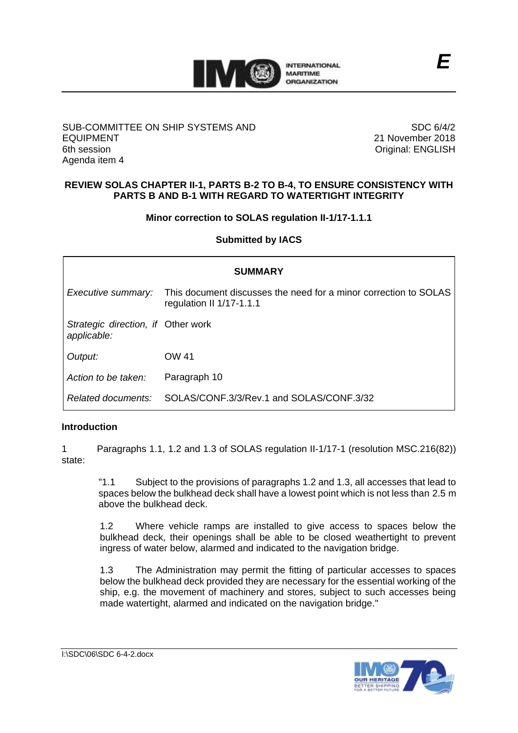

#### SUB-COMMITTEE ON SHIP SYSTEMS AND EQUIPMENT 6th session Agenda item 4

SDC 6/4/2 21 November 2018 Original: ENGLISH

## **REVIEW SOLAS CHAPTER II-1, PARTS B-2 TO B-4, TO ENSURE CONSISTENCY WITH PARTS B AND B-1 WITH REGARD TO WATERTIGHT INTEGRITY**

## **Minor correction to SOLAS regulation II-1/17-1.1.1**

**Submitted by IACS**

| <b>SUMMARY</b>                                    |                                                                                              |
|---------------------------------------------------|----------------------------------------------------------------------------------------------|
| Executive summary:                                | This document discusses the need for a minor correction to SOLAS<br>regulation II 1/17-1.1.1 |
| Strategic direction, if Other work<br>applicable: |                                                                                              |
| Output:                                           | OW 41                                                                                        |
| Action to be taken:                               | Paragraph 10                                                                                 |
| Related documents:                                | SOLAS/CONE 3/3/Rev.1 and SOLAS/CONE 3/32                                                     |

## **Introduction**

1 Paragraphs 1.1, 1.2 and 1.3 of SOLAS regulation II-1/17-1 (resolution MSC.216(82)) state:

"1.1 Subject to the provisions of paragraphs 1.2 and 1.3, all accesses that lead to spaces below the bulkhead deck shall have a lowest point which is not less than 2.5 m above the bulkhead deck.

1.2 Where vehicle ramps are installed to give access to spaces below the bulkhead deck, their openings shall be able to be closed weathertight to prevent ingress of water below, alarmed and indicated to the navigation bridge.

1.3 The Administration may permit the fitting of particular accesses to spaces below the bulkhead deck provided they are necessary for the essential working of the ship, e.g. the movement of machinery and stores, subject to such accesses being made watertight, alarmed and indicated on the navigation bridge."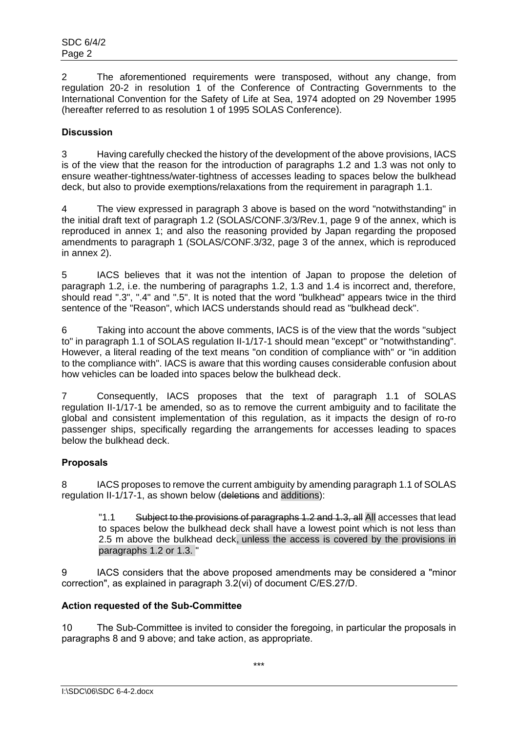2 The aforementioned requirements were transposed, without any change, from regulation 20-2 in resolution 1 of the Conference of Contracting Governments to the International Convention for the Safety of Life at Sea, 1974 adopted on 29 November 1995 (hereafter referred to as resolution 1 of 1995 SOLAS Conference).

# **Discussion**

3 Having carefully checked the history of the development of the above provisions, IACS is of the view that the reason for the introduction of paragraphs 1.2 and 1.3 was not only to ensure weather-tightness/water-tightness of accesses leading to spaces below the bulkhead deck, but also to provide exemptions/relaxations from the requirement in paragraph 1.1.

4 The view expressed in paragraph 3 above is based on the word "notwithstanding" in the initial draft text of paragraph 1.2 (SOLAS/CONF.3/3/Rev.1, page 9 of the annex, which is reproduced in annex 1; and also the reasoning provided by Japan regarding the proposed amendments to paragraph 1 (SOLAS/CONF.3/32, page 3 of the annex, which is reproduced in annex 2).

5 IACS believes that it was not the intention of Japan to propose the deletion of paragraph 1.2, i.e. the numbering of paragraphs 1.2, 1.3 and 1.4 is incorrect and, therefore, should read ".3", ".4" and ".5". It is noted that the word "bulkhead" appears twice in the third sentence of the "Reason", which IACS understands should read as "bulkhead deck".

6 Taking into account the above comments, IACS is of the view that the words "subject to" in paragraph 1.1 of SOLAS regulation II-1/17-1 should mean "except" or "notwithstanding". However, a literal reading of the text means "on condition of compliance with" or "in addition to the compliance with". IACS is aware that this wording causes considerable confusion about how vehicles can be loaded into spaces below the bulkhead deck.

7 Consequently, IACS proposes that the text of paragraph 1.1 of SOLAS regulation II-1/17-1 be amended, so as to remove the current ambiguity and to facilitate the global and consistent implementation of this regulation, as it impacts the design of ro-ro passenger ships, specifically regarding the arrangements for accesses leading to spaces below the bulkhead deck.

## **Proposals**

8 IACS proposes to remove the current ambiguity by amending paragraph 1.1 of SOLAS regulation II-1/17-1, as shown below (deletions and additions):

"1.1 Subject to the provisions of paragraphs 1.2 and 1.3, all All accesses that lead to spaces below the bulkhead deck shall have a lowest point which is not less than 2.5 m above the bulkhead deck, unless the access is covered by the provisions in paragraphs 1.2 or 1.3. "

9 IACS considers that the above proposed amendments may be considered a "minor correction", as explained in paragraph 3.2(vi) of document C/ES.27/D.

## **Action requested of the Sub-Committee**

10 The Sub-Committee is invited to consider the foregoing, in particular the proposals in paragraphs 8 and 9 above; and take action, as appropriate.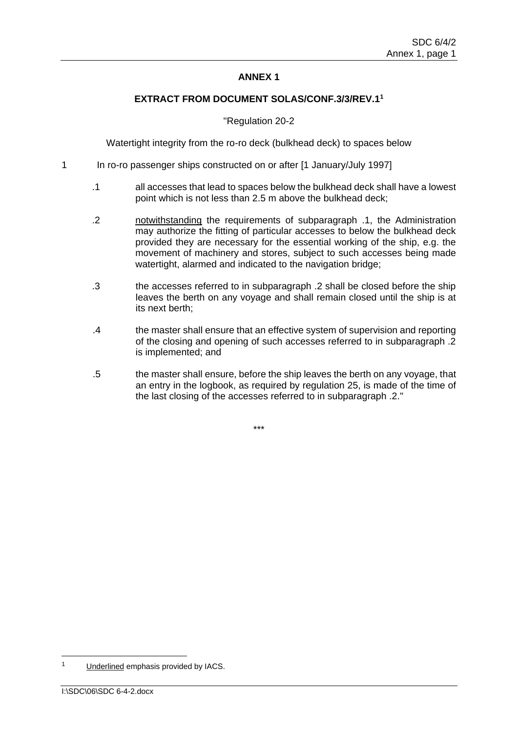## **ANNEX 1**

#### **EXTRACT FROM DOCUMENT SOLAS/CONF.3/3/REV.1<sup>1</sup>**

#### "Regulation 20-2

Watertight integrity from the ro-ro deck (bulkhead deck) to spaces below

- 1 In ro-ro passenger ships constructed on or after [1 January/July 1997]
	- .1 all accesses that lead to spaces below the bulkhead deck shall have a lowest point which is not less than 2.5 m above the bulkhead deck;
	- .2 notwithstanding the requirements of subparagraph .1, the Administration may authorize the fitting of particular accesses to below the bulkhead deck provided they are necessary for the essential working of the ship, e.g. the movement of machinery and stores, subject to such accesses being made watertight, alarmed and indicated to the navigation bridge:
	- .3 the accesses referred to in subparagraph .2 shall be closed before the ship leaves the berth on any voyage and shall remain closed until the ship is at its next berth;
	- .4 the master shall ensure that an effective system of supervision and reporting of the closing and opening of such accesses referred to in subparagraph .2 is implemented; and
	- .5 the master shall ensure, before the ship leaves the berth on any voyage, that an entry in the logbook, as required by regulation 25, is made of the time of the last closing of the accesses referred to in subparagraph .2."

\*\*\*

-

<sup>1</sup> Underlined emphasis provided by IACS.